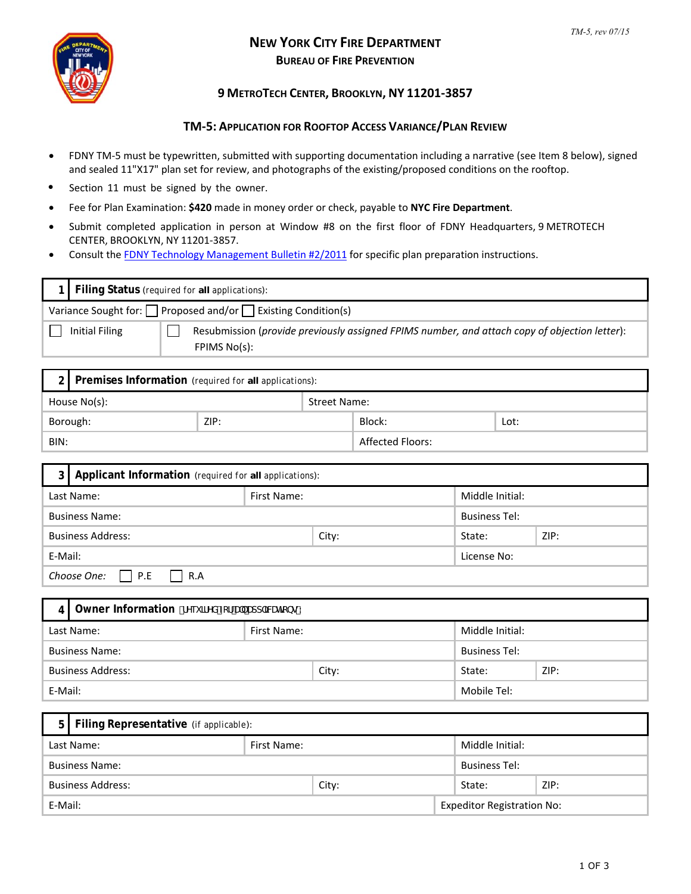

## **NEW YORK CITY FIRE DEPARTMENT BUREAU OF FIRE PREVENTION**

## **9 METROTECH CENTER, BROOKLYN, NY 11201‐3857**

## **TM‐5: APPLICATION FOR ROOFTOP ACCESS VARIANCE/PLAN REVIEW**

- FDNY TM‐5 must be typewritten, submitted with supporting documentation including a narrative (see Item 8 below), signed and sealed 11"X17" plan set for review, and photographs of the existing/proposed conditions on the rooftop.
- Section 11 must be signed by the owner.
- Fee for Plan Examination: **\$420** made in money order or check, payable to **NYC Fire Department**.
- Submit completed application in person at Window #8 on the first floor of FDNY Headquarters, 9 METROTECH CENTER, BROOKLYN, NY 11201-3857.
- Consult the FDNY Technology [Management](http://www.nyc.gov/html/fdny/pdf/fire_prevention/otmb_02_2011.pdf) Bulletin #2/2011 for specific plan preparation instructions.

| Variance Sought for: $\Box$ Proposed and/or $\Box$ Existing Condition(s) | Filing Status (required for all applications): |                                                                                               |  |  |  |
|--------------------------------------------------------------------------|------------------------------------------------|-----------------------------------------------------------------------------------------------|--|--|--|
|                                                                          |                                                |                                                                                               |  |  |  |
| FPIMS No(s):                                                             | <b>Initial Filing</b>                          | Resubmission (provide previously assigned FPIMS number, and attach copy of objection letter): |  |  |  |

|                  | 2 Premises Information (required for all applications): |  |                     |      |  |  |
|------------------|---------------------------------------------------------|--|---------------------|------|--|--|
| House No(s):     |                                                         |  | <b>Street Name:</b> |      |  |  |
| ZIP:<br>Borough: |                                                         |  | Block:              | Lot: |  |  |
| BIN:             |                                                         |  | Affected Floors:    |      |  |  |

| 3 I                           | Applicant Information (required for all applications): |                 |                      |        |      |  |
|-------------------------------|--------------------------------------------------------|-----------------|----------------------|--------|------|--|
| First Name:<br>Last Name:     |                                                        | Middle Initial: |                      |        |      |  |
| <b>Business Name:</b>         |                                                        |                 | <b>Business Tel:</b> |        |      |  |
| <b>Business Address:</b>      |                                                        |                 | City:                | State: | ZIP: |  |
| E-Mail:                       |                                                        |                 | License No:          |        |      |  |
| Choose One: $\Box$ P.E<br>R.A |                                                        |                 |                      |        |      |  |

| Owner Information ffYei JfYX Zcf U" Udd' JWh]cbgL:<br>4 |  |       |                      |      |  |
|---------------------------------------------------------|--|-------|----------------------|------|--|
| Last Name:<br>First Name:                               |  |       | Middle Initial:      |      |  |
| <b>Business Name:</b>                                   |  |       | <b>Business Tel:</b> |      |  |
| <b>Business Address:</b>                                |  | City: | State:               | ZIP: |  |
| E-Mail:                                                 |  |       | Mobile Tel:          |      |  |

|                           | 5 Filing Representative (if applicable): |       |                      |                                   |      |  |
|---------------------------|------------------------------------------|-------|----------------------|-----------------------------------|------|--|
| First Name:<br>Last Name: |                                          |       |                      | Middle Initial:                   |      |  |
| <b>Business Name:</b>     |                                          |       | <b>Business Tel:</b> |                                   |      |  |
| <b>Business Address:</b>  |                                          | City: | State:               |                                   | ZIP: |  |
| E-Mail:                   |                                          |       |                      | <b>Expeditor Registration No:</b> |      |  |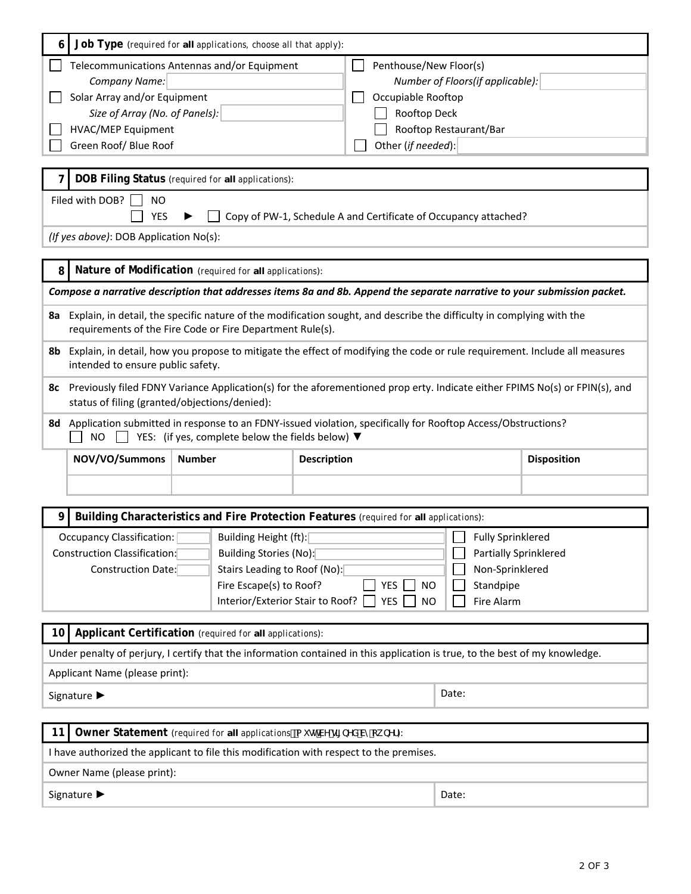| 6                                                                                                                            | Job Type (required for all applications, choose all that apply):                                                                                                                                                                                                                                                                          |                                                                           |                                                                                                                          |                       |                    |  |
|------------------------------------------------------------------------------------------------------------------------------|-------------------------------------------------------------------------------------------------------------------------------------------------------------------------------------------------------------------------------------------------------------------------------------------------------------------------------------------|---------------------------------------------------------------------------|--------------------------------------------------------------------------------------------------------------------------|-----------------------|--------------------|--|
|                                                                                                                              | Telecommunications Antennas and/or Equipment<br>Penthouse/New Floor(s)<br>Company Name:<br>Number of Floors(if applicable):<br>Solar Array and/or Equipment<br>Occupiable Rooftop<br>Rooftop Deck<br>Size of Array (No. of Panels):<br><b>HVAC/MEP Equipment</b><br>Rooftop Restaurant/Bar<br>Green Roof/ Blue Roof<br>Other (if needed): |                                                                           |                                                                                                                          |                       |                    |  |
|                                                                                                                              |                                                                                                                                                                                                                                                                                                                                           | DOB Filing Status (required for all applications):                        |                                                                                                                          |                       |                    |  |
|                                                                                                                              | Filed with DOB?<br>ΝO                                                                                                                                                                                                                                                                                                                     |                                                                           |                                                                                                                          |                       |                    |  |
|                                                                                                                              | <b>YES</b>                                                                                                                                                                                                                                                                                                                                |                                                                           | Copy of PW-1, Schedule A and Certificate of Occupancy attached?                                                          |                       |                    |  |
|                                                                                                                              | (If yes above): DOB Application No(s):                                                                                                                                                                                                                                                                                                    |                                                                           |                                                                                                                          |                       |                    |  |
| 8                                                                                                                            |                                                                                                                                                                                                                                                                                                                                           | Nature of Modification (required for all applications):                   |                                                                                                                          |                       |                    |  |
|                                                                                                                              |                                                                                                                                                                                                                                                                                                                                           |                                                                           | Compose a narrative description that addresses items 8a and 8b. Append the separate narrative to your submission packet. |                       |                    |  |
| 8a                                                                                                                           |                                                                                                                                                                                                                                                                                                                                           | requirements of the Fire Code or Fire Department Rule(s).                 | Explain, in detail, the specific nature of the modification sought, and describe the difficulty in complying with the    |                       |                    |  |
| 8b                                                                                                                           | Explain, in detail, how you propose to mitigate the effect of modifying the code or rule requirement. Include all measures<br>intended to ensure public safety.                                                                                                                                                                           |                                                                           |                                                                                                                          |                       |                    |  |
| 8с                                                                                                                           | Previously filed FDNY Variance Application(s) for the aforementioned prop erty. Indicate either FPIMS No(s) or FPIN(s), and<br>status of filing (granted/objections/denied):                                                                                                                                                              |                                                                           |                                                                                                                          |                       |                    |  |
|                                                                                                                              | 8d Application submitted in response to an FDNY-issued violation, specifically for Rooftop Access/Obstructions?<br><b>NO</b><br>YES: (if yes, complete below the fields below) $\blacktriangledown$                                                                                                                                       |                                                                           |                                                                                                                          |                       |                    |  |
|                                                                                                                              | NOV/VO/Summons                                                                                                                                                                                                                                                                                                                            | <b>Number</b>                                                             | <b>Description</b>                                                                                                       |                       | <b>Disposition</b> |  |
|                                                                                                                              |                                                                                                                                                                                                                                                                                                                                           |                                                                           |                                                                                                                          |                       |                    |  |
|                                                                                                                              |                                                                                                                                                                                                                                                                                                                                           |                                                                           | Building Characteristics and Fire Protection Features (required for all applications):                                   |                       |                    |  |
|                                                                                                                              | Occupancy Classification:                                                                                                                                                                                                                                                                                                                 | Building Height (ft):                                                     |                                                                                                                          | Fully Sprinklered     |                    |  |
|                                                                                                                              | Construction Classification:                                                                                                                                                                                                                                                                                                              | Building Stories (No):                                                    |                                                                                                                          | Partially Sprinklered |                    |  |
|                                                                                                                              | Construction Date:                                                                                                                                                                                                                                                                                                                        | Stairs Leading to Roof (No):                                              |                                                                                                                          | Non-Sprinklered       |                    |  |
|                                                                                                                              |                                                                                                                                                                                                                                                                                                                                           | Fire Escape(s) to Roof?                                                   | YES<br><b>NO</b>                                                                                                         | Standpipe             |                    |  |
|                                                                                                                              | Interior/Exterior Stair to Roof?<br>Fire Alarm<br>YES<br><b>NO</b>                                                                                                                                                                                                                                                                        |                                                                           |                                                                                                                          |                       |                    |  |
|                                                                                                                              | Applicant Certification (required for all applications):<br>10                                                                                                                                                                                                                                                                            |                                                                           |                                                                                                                          |                       |                    |  |
| Under penalty of perjury, I certify that the information contained in this application is true, to the best of my knowledge. |                                                                                                                                                                                                                                                                                                                                           |                                                                           |                                                                                                                          |                       |                    |  |
| Applicant Name (please print):                                                                                               |                                                                                                                                                                                                                                                                                                                                           |                                                                           |                                                                                                                          |                       |                    |  |
|                                                                                                                              | Date:<br>Signature ▶                                                                                                                                                                                                                                                                                                                      |                                                                           |                                                                                                                          |                       |                    |  |
| 11                                                                                                                           |                                                                                                                                                                                                                                                                                                                                           | Owner Statement (required for all applicationsža i gr W g[[bYX Vmck bYf): |                                                                                                                          |                       |                    |  |
|                                                                                                                              |                                                                                                                                                                                                                                                                                                                                           |                                                                           | I have authorized the applicant to file this modification with respect to the premises.                                  |                       |                    |  |
| Owner Name (please print):                                                                                                   |                                                                                                                                                                                                                                                                                                                                           |                                                                           |                                                                                                                          |                       |                    |  |
|                                                                                                                              | Signature ▶<br>Date:                                                                                                                                                                                                                                                                                                                      |                                                                           |                                                                                                                          |                       |                    |  |